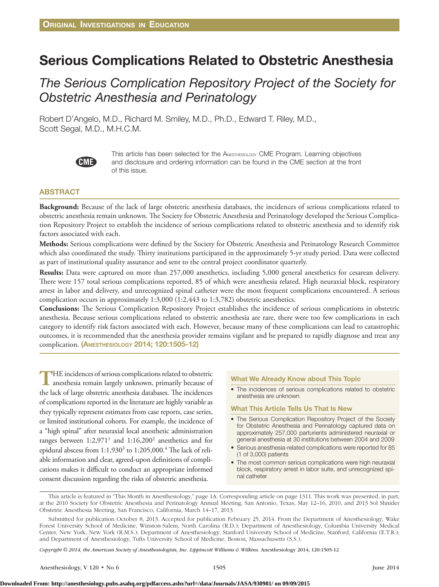# Serious Complications Related to Obstetric Anesthesia

## *The Serious Complication Repository Project of the Society for Obstetric Anesthesia and Perinatology*

Robert D'Angelo, M.D., Richard M. Smiley, M.D., Ph.D., Edward T. Riley, M.D., Scott Segal, M.D., M.H.C.M.



This article has been selected for the ANESTHESIOLOGY CME Program. Learning objectives and disclosure and ordering information can be found in the CME section at the front of this issue.

## **ABSTRACT**

**Background:** Because of the lack of large obstetric anesthesia databases, the incidences of serious complications related to obstetric anesthesia remain unknown. The Society for Obstetric Anesthesia and Perinatology developed the Serious Complication Repository Project to establish the incidence of serious complications related to obstetric anesthesia and to identify risk factors associated with each.

**Methods:** Serious complications were defined by the Society for Obstetric Anesthesia and Perinatology Research Committee which also coordinated the study. Thirty institutions participated in the approximately 5-yr study period. Data were collected as part of institutional quality assurance and sent to the central project coordinator quarterly.

**Results:** Data were captured on more than 257,000 anesthetics, including 5,000 general anesthetics for cesarean delivery. There were 157 total serious complications reported, 85 of which were anesthesia related. High neuraxial block, respiratory arrest in labor and delivery, and unrecognized spinal catheter were the most frequent complications encountered. A serious complication occurs in approximately 1:3,000 (1:2,443 to 1:3,782) obstetric anesthetics.

**Conclusions:** The Serious Complication Repository Project establishes the incidence of serious complications in obstetric anesthesia. Because serious complications related to obstetric anesthesia are rare, there were too few complications in each category to identify risk factors associated with each. However, because many of these complications can lead to catastrophic outcomes, it is recommended that the anesthesia provider remains vigilant and be prepared to rapidly diagnose and treat any complication. (Anesthesiology 2014; 120:1505-12)

**T**HE incidences of serious complications related to obstetric anesthesia remain largely unknown, primarily because of the lack of large obstetric anesthesia databases. The incidences of complications reported in the literature are highly variable as they typically represent estimates from case reports, case series, or limited institutional cohorts. For example, the incidence of a "high spinal" after neuraxial local anesthetic administration ranges between  $1:2,971<sup>1</sup>$  and  $1:16,200<sup>2</sup>$  anesthetics and for epidural abscess from 1:1,930<sup>3</sup> to 1:205,000.<sup>4</sup> The lack of reliable information and clear, agreed-upon definitions of complications makes it difficult to conduct an appropriate informed consent discussion regarding the risks of obstetric anesthesia.

### What We Already Know about This Topic

• The incidences of serious complications related to obstetric anesthesia are unknown

#### What This Article Tells Us That Is New

- The Serious Complication Repository Project of the Society for Obstetric Anesthesia and Perinatology captured data on approximately 257,000 parturients administered neuraxial or general anesthesia at 30 institutions between 2004 and 2009
- Serious anesthesia-related complications were reported for 85 (1 of 3,000) patients
- The most common serious complications were high neuraxial block, respiratory arrest in labor suite, and unrecognized spinal catheter

*Copyright © 2014, the American Society of Anesthesiologists, Inc. Lippincott Williams & Wilkins.* Anesthesiology 2014; 120:1505-12

This article is featured in "This Month in Anesthesiology," page 1A. Corresponding article on page 1311. This work was presented, in part, at the 2010 Society for Obstetric Anesthesia and Perinatology Annual Meeting, San Antonio, Texas, May 12–16, 2010, and 2013 Sol Shnider Obstetric Anesthesia Meeting, San Francisco, California, March 14–17, 2013.

Submitted for publication October 8, 2013. Accepted for publication February 25, 2014. From the Department of Anesthesiology, Wake Forest University School of Medicine, Winston-Salem, North Carolina (R.D.); Department of Anesthesiology, Columbia University Medical Center, New York, New York (R.M.S.); Department of Anesthesiology, Stanford University School of Medicine, Stanford, California (E.T.R.); and Department of Anesthesiology, Tufts University School of Medicine, Boston, Massachusetts (S.S.).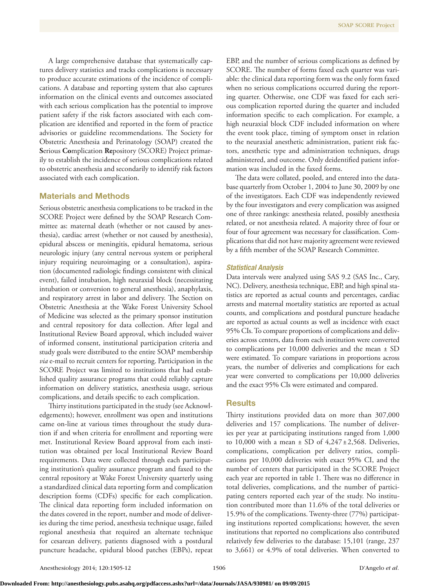A large comprehensive database that systematically captures delivery statistics and tracks complications is necessary to produce accurate estimations of the incidence of complications. A database and reporting system that also captures information on the clinical events and outcomes associated with each serious complication has the potential to improve patient safety if the risk factors associated with each complication are identified and reported in the form of practice advisories or guideline recommendations. The Society for Obstetric Anesthesia and Perinatology (SOAP) created the **S**erious **Co**mplication **Re**pository (SCORE) Project primarily to establish the incidence of serious complications related to obstetric anesthesia and secondarily to identify risk factors associated with each complication.

## Materials and Methods

Serious obstetric anesthesia complications to be tracked in the SCORE Project were defined by the SOAP Research Committee as: maternal death (whether or not caused by anesthesia), cardiac arrest (whether or not caused by anesthesia), epidural abscess or meningitis, epidural hematoma, serious neurologic injury (any central nervous system or peripheral injury requiring neuroimaging or a consultation), aspiration (documented radiologic findings consistent with clinical event), failed intubation, high neuraxial block (necessitating intubation or conversion to general anesthesia), anaphylaxis, and respiratory arrest in labor and delivery. The Section on Obstetric Anesthesia at the Wake Forest University School of Medicine was selected as the primary sponsor institution and central repository for data collection. After legal and Institutional Review Board approval, which included waiver of informed consent, institutional participation criteria and study goals were distributed to the entire SOAP membership *via* e-mail to recruit centers for reporting. Participation in the SCORE Project was limited to institutions that had established quality assurance programs that could reliably capture information on delivery statistics, anesthesia usage, serious complications, and details specific to each complication.

Thirty institutions participated in the study (see Acknowledgements); however, enrollment was open and institutions came on-line at various times throughout the study duration if and when criteria for enrollment and reporting were met. Institutional Review Board approval from each institution was obtained per local Institutional Review Board requirements. Data were collected through each participating institution's quality assurance program and faxed to the central repository at Wake Forest University quarterly using a standardized clinical data reporting form and complication description forms (CDFs) specific for each complication. The clinical data reporting form included information on the dates covered in the report, number and mode of deliveries during the time period, anesthesia technique usage, failed regional anesthesia that required an alternate technique for cesarean delivery, patients diagnosed with a postdural puncture headache, epidural blood patches (EBPs), repeat

EBP, and the number of serious complications as defined by SCORE. The number of forms faxed each quarter was variable: the clinical data reporting form was the only form faxed when no serious complications occurred during the reporting quarter. Otherwise, one CDF was faxed for each serious complication reported during the quarter and included information specific to each complication. For example, a high neuraxial block CDF included information on where the event took place, timing of symptom onset in relation to the neuraxial anesthetic administration, patient risk factors, anesthetic type and administration techniques, drugs administered, and outcome. Only deidentified patient information was included in the faxed forms.

The data were collated, pooled, and entered into the database quarterly from October 1, 2004 to June 30, 2009 by one of the investigators. Each CDF was independently reviewed by the four investigators and every complication was assigned one of three rankings: anesthesia related, possibly anesthesia related, or not anesthesia related. A majority three of four or four of four agreement was necessary for classification. Complications that did not have majority agreement were reviewed by a fifth member of the SOAP Research Committee.

## *Statistical Analysis*

Data intervals were analyzed using SAS 9.2 (SAS Inc., Cary, NC). Delivery, anesthesia technique, EBP, and high spinal statistics are reported as actual counts and percentages, cardiac arrests and maternal mortality statistics are reported as actual counts, and complications and postdural puncture headache are reported as actual counts as well as incidence with exact 95% CIs. To compare proportions of complications and deliveries across centers, data from each institution were converted to complications per 10,000 deliveries and the mean ± SD were estimated. To compare variations in proportions across years, the number of deliveries and complications for each year were converted to complications per 10,000 deliveries and the exact 95% CIs were estimated and compared.

## **Results**

Thirty institutions provided data on more than 307,000 deliveries and 157 complications. The number of deliveries per year at participating institutions ranged from 1,000 to 10,000 with a mean  $\pm$  SD of  $4,247\pm2,568$ . Deliveries, complications, complication per delivery ratios, complications per 10,000 deliveries with exact 95% CI, and the number of centers that participated in the SCORE Project each year are reported in table 1. There was no difference in total deliveries, complications, and the number of participating centers reported each year of the study. No institution contributed more than 11.6% of the total deliveries or 15.9% of the complications. Twenty-three (77%) participating institutions reported complications; however, the seven institutions that reported no complications also contributed relatively few deliveries to the database: 15,101 (range, 237 to 3,661) or 4.9% of total deliveries. When converted to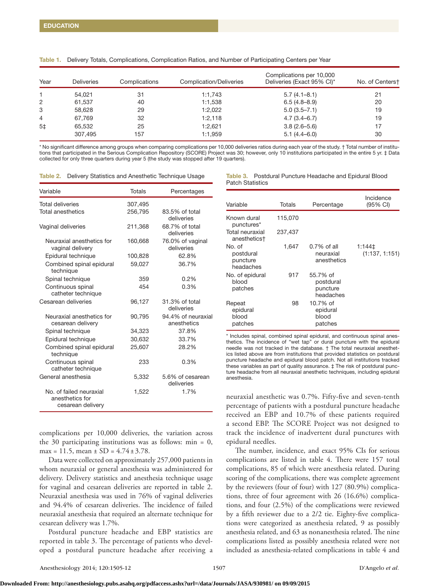| Year           | <b>Deliveries</b> | Complications | Complication/Deliveries | Complications per 10,000<br>Deliveries (Exact 95% CI)* | No. of Centerst |
|----------------|-------------------|---------------|-------------------------|--------------------------------------------------------|-----------------|
|                | 54.021            | 31            | 1:1,743                 | $5.7(4.1 - 8.1)$                                       | 21              |
| 2              | 61,537            | 40            | 1:1,538                 | $6.5(4.8-8.9)$                                         | 20              |
| 3              | 58.628            | 29            | 1:2.022                 | $5.0(3.5 - 7.1)$                                       | 19              |
| $\overline{4}$ | 67.769            | 32            | 1:2.118                 | $4.7(3.4 - 6.7)$                                       | 19              |
| 5 <sup>±</sup> | 65,532            | 25            | 1:2,621                 | $3.8(2.6 - 5.6)$                                       | 17              |
|                | 307,495           | 157           | 1:1,959                 | $5.1(4.4 - 6.0)$                                       | 30              |

Table 1. Delivery Totals, Complications, Complication Ratios, and Number of Participating Centers per Year

\* No significant difference among groups when comparing complications per 10,000 deliveries ratios during each year of the study. † Total number of institutions that participated in the Serious Complication Repository (SCORE) Project was 30; however, only 10 institutions participated in the entire 5 yr. ‡ Data collected for only three quarters during year 5 (the study was stopped after 19 quarters).

| Table 2. |  |  |  | Delivery Statistics and Anesthetic Technique Usage |  |  |
|----------|--|--|--|----------------------------------------------------|--|--|
|----------|--|--|--|----------------------------------------------------|--|--|

| Variable                                                        | Totals  | Percentages                       |
|-----------------------------------------------------------------|---------|-----------------------------------|
| <b>Total deliveries</b>                                         | 307,495 |                                   |
| Total anesthetics                                               | 256,795 | 83.5% of total<br>deliveries      |
| Vaginal deliveries                                              | 211,368 | 68.7% of total<br>deliveries      |
| Neuraxial anesthetics for<br>vaginal delivery                   | 160,668 | 76.0% of vaginal<br>deliveries    |
| Epidural technique                                              | 100,828 | 62.8%                             |
| Combined spinal epidural<br>technique                           | 59,027  | 36.7%                             |
| Spinal technique                                                | 359     | 0.2%                              |
| Continuous spinal<br>catheter technique                         | 454     | 0.3%                              |
| Cesarean deliveries                                             | 96,127  | 31.3% of total<br>deliveries      |
| Neuraxial anesthetics for<br>cesarean delivery                  | 90,795  | 94.4% of neuraxial<br>anesthetics |
| Spinal technique                                                | 34,323  | 37.8%                             |
| Epidural technique                                              | 30,632  | 33.7%                             |
| Combined spinal epidural<br>technique                           | 25,607  | 28.2%                             |
| Continuous spinal<br>catheter technique                         | 233     | 0.3%                              |
| General anesthesia                                              | 5,332   | 5.6% of cesarean<br>deliveries    |
| No. of failed neuraxial<br>anesthetics for<br>cesarean delivery | 1,522   | 1.7%                              |

complications per 10,000 deliveries, the variation across the 30 participating institutions was as follows:  $min = 0$ , max = 11.5, mean  $\pm$  SD = 4.74 $\pm$ 3.78.

Data were collected on approximately 257,000 patients in whom neuraxial or general anesthesia was administered for delivery. Delivery statistics and anesthesia technique usage for vaginal and cesarean deliveries are reported in table 2. Neuraxial anesthesia was used in 76% of vaginal deliveries and 94.4% of cesarean deliveries. The incidence of failed neuraxial anesthesia that required an alternate technique for cesarean delivery was 1.7%.

Postdural puncture headache and EBP statistics are reported in table 3. The percentage of patients who developed a postdural puncture headache after receiving a

Table 3. Postdural Puncture Headache and Epidural Blood Patch Statistics

| Variable                                     | Totals  | Percentage                                     | Incidence<br>(95% CI)    |
|----------------------------------------------|---------|------------------------------------------------|--------------------------|
| Known dural<br>punctures*                    | 115,070 |                                                |                          |
| Total neuraxial<br>anesthetics†              | 237,437 |                                                |                          |
| No. of<br>postdural<br>puncture<br>headaches | 1,647   | $0.7\%$ of all<br>neuraxial<br>anesthetics     | 1:144‡<br>(1:137, 1:151) |
| No. of epidural<br>blood<br>patches          | 917     | 55.7% of<br>postdural<br>puncture<br>headaches |                          |
| Repeat<br>epidural<br>blood<br>patches       | 98      | 10.7% of<br>epidural<br>blood<br>patches       |                          |

\* Includes spinal, combined spinal epidural, and continuous spinal anesthetics. The incidence of "wet tap" or dural puncture with the epidural needle was not tracked in the database. † The total neuraxial anesthetics listed above are from institutions that provided statistics on postdural puncture headache and epidural blood patch. Not all institutions tracked these variables as part of quality assurance.  $\pm$  The risk of postdural puncture headache from all neuraxial anesthetic techniques, including epidural anesthesia.

neuraxial anesthetic was 0.7%. Fifty-five and seven-tenth percentage of patients with a postdural puncture headache received an EBP and 10.7% of these patients required a second EBP. The SCORE Project was not designed to track the incidence of inadvertent dural punctures with epidural needles.

The number, incidence, and exact 95% CIs for serious complications are listed in table 4. There were 157 total complications, 85 of which were anesthesia related. During scoring of the complications, there was complete agreement by the reviewers (four of four) with 127 (80.9%) complications, three of four agreement with 26 (16.6%) complications, and four (2.5%) of the complications were reviewed by a fifth reviewer due to a 2/2 tie. Eighty-five complications were categorized as anesthesia related, 9 as possibly anesthesia related, and 63 as nonanesthesia related. The nine complications listed as possibly anesthesia related were not included as anesthesia-related complications in table 4 and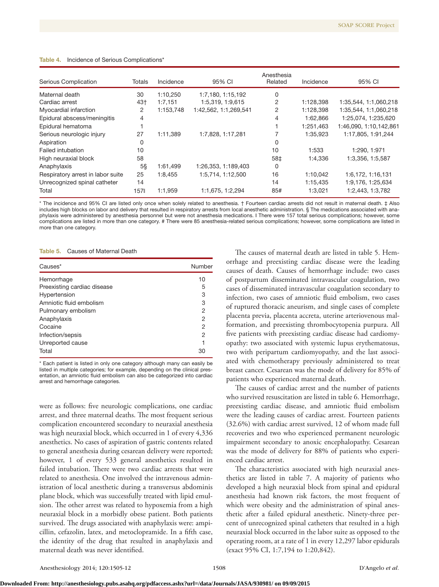| Serious Complication              | Totals | Incidence | 95% CI                | Anesthesia<br>Related | Incidence | 95% CI                 |
|-----------------------------------|--------|-----------|-----------------------|-----------------------|-----------|------------------------|
| Maternal death                    | 30     | 1:10,250  | 1:7,180, 1:15,192     | 0                     |           |                        |
| Cardiac arrest                    | 43†    | 1:7,151   | 1:5,319, 1:9,615      | 2                     | 1:128,398 | 1:35,544, 1:1,060,218  |
| Myocardial infarction             | 2      | 1:153,748 | 1:42,562, 1:1,269,541 | 2                     | 1:128,398 | 1:35,544, 1:1,060,218  |
| Epidural abscess/meningitis       | 4      |           |                       | 4                     | 1:62,866  | 1:25,074, 1:235,620    |
| Epidural hematoma                 |        |           |                       |                       | 1:251,463 | 1:46,090, 1:10,142,861 |
| Serious neurologic injury         | 27     | 1:11.389  | 1:7,828, 1:17,281     |                       | 1:35,923  | 1:17,805, 1:91,244     |
| Aspiration                        | 0      |           |                       | 0                     |           |                        |
| Failed intubation                 | 10     |           |                       | 10                    | 1:533     | 1:290, 1:971           |
| High neuraxial block              | 58     |           |                       | 58‡                   | 1:4.336   | 1:3,356, 1:5,587       |
| Anaphylaxis                       | $5\%$  | 1:61.499  | 1:26,353, 1:189,403   | 0                     |           |                        |
| Respiratory arrest in labor suite | 25     | 1:8,455   | 1:5,714, 1:12,500     | 16                    | 1:10,042  | 1:6,172, 1:16,131      |
| Unrecognized spinal catheter      | 14     |           |                       | 14                    | 1:15.435  | 1:9,176, 1:25,634      |
| Total                             | 157    | 1:1,959   | 1:1,675, 1:2,294      | 85#                   | 1:3,021   | 1:2,443, 1:3,782       |

#### Table 4. Incidence of Serious Complications'

\* The incidence and 95% CI are listed only once when solely related to anesthesia. † Fourteen cardiac arrests did not result in maternal death. ‡ Also includes high blocks on labor and delivery that resulted in respiratory arrests from local anesthetic administration. § The medications associated with anaphylaxis were administered by anesthesia personnel but were not anesthesia medications. ‖ There were 157 total serious complications; however, some complications are listed in more than one category. # There were 85 anesthesia-related serious complications; however, some complications are listed in more than one category.

Table 5. Causes of Maternal Death

| Causes*                     | Number         |  |
|-----------------------------|----------------|--|
| Hemorrhage                  | 10             |  |
| Preexisting cardiac disease | 5              |  |
| Hypertension                | 3              |  |
| Amniotic fluid embolism     | 3              |  |
| Pulmonary embolism          | 2              |  |
| Anaphylaxis                 | 2              |  |
| Cocaine                     | $\overline{2}$ |  |
| Infection/sepsis            | 2              |  |
| Unreported cause            |                |  |
| Total                       | 30             |  |

\* Each patient is listed in only one category although many can easily be listed in multiple categories; for example, depending on the clinical presentation, an amniotic fluid embolism can also be categorized into cardiac arrest and hemorrhage categories.

were as follows: five neurologic complications, one cardiac arrest, and three maternal deaths. The most frequent serious complication encountered secondary to neuraxial anesthesia was high neuraxial block, which occurred in 1 of every 4,336 anesthetics. No cases of aspiration of gastric contents related to general anesthesia during cesarean delivery were reported; however, 1 of every 533 general anesthetics resulted in failed intubation. There were two cardiac arrests that were related to anesthesia. One involved the intravenous administration of local anesthetic during a transversus abdominis plane block, which was successfully treated with lipid emulsion. The other arrest was related to hypoxemia from a high neuraxial block in a morbidly obese patient. Both patients survived. The drugs associated with anaphylaxis were: ampicillin, cefazolin, latex, and metoclopramide. In a fifth case, the identity of the drug that resulted in anaphylaxis and maternal death was never identified.

The causes of maternal death are listed in table 5. Hemorrhage and preexisting cardiac disease were the leading causes of death. Causes of hemorrhage include: two cases of postpartum disseminated intravascular coagulation, two cases of disseminated intravascular coagulation secondary to infection, two cases of amniotic fluid embolism, two cases of ruptured thoracic aneurism, and single cases of complete placenta previa, placenta accreta, uterine arteriovenous malformation, and preexisting thrombocytopenia purpura. All five patients with preexisting cardiac disease had cardiomyopathy: two associated with systemic lupus erythematosus, two with peripartum cardiomyopathy, and the last associated with chemotherapy previously administered to treat breast cancer. Cesarean was the mode of delivery for 85% of patients who experienced maternal death.

The causes of cardiac arrest and the number of patients who survived resuscitation are listed in table 6. Hemorrhage, preexisting cardiac disease, and amniotic fluid embolism were the leading causes of cardiac arrest. Fourteen patients (32.6%) with cardiac arrest survived, 12 of whom made full recoveries and two who experienced permanent neurologic impairment secondary to anoxic encephalopathy. Cesarean was the mode of delivery for 88% of patients who experienced cardiac arrest.

The characteristics associated with high neuraxial anesthetics are listed in table 7. A majority of patients who developed a high neuraxial block from spinal and epidural anesthesia had known risk factors, the most frequent of which were obesity and the administration of spinal anesthetic after a failed epidural anesthetic. Ninety-three percent of unrecognized spinal catheters that resulted in a high neuraxial block occurred in the labor suite as opposed to the operating room, at a rate of 1 in every 12,297 labor epidurals (exact 95% CI, 1:7,194 to 1:20,842).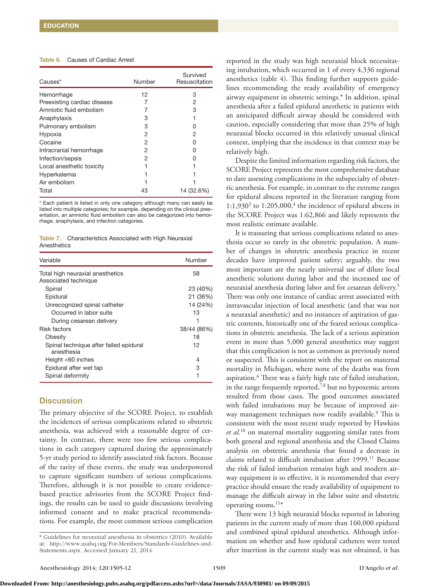## Table 6. Causes of Cardiac Arrest

| Causes*                     | Number | Survived<br>Resuscitation |
|-----------------------------|--------|---------------------------|
| Hemorrhage                  | 12     | З                         |
| Preexisting cardiac disease |        | 2                         |
| Amniotic fluid embolism     |        | З                         |
| Anaphylaxis                 | З      |                           |
| Pulmonary embolism          | З      | n                         |
| Hypoxia                     | 2      | 2                         |
| Cocaine                     | 2      | n                         |
| Intracranial hemorrhage     | 2      | n                         |
| Infection/sepsis            | 2      |                           |
| Local anesthetic toxicity   |        |                           |
| Hyperkalemia                |        |                           |
| Air embolism                |        |                           |
| Total                       | 43     | 14 (32.6%)                |

Each patient is listed in only one category although many can easily be listed into multiple categories; for example, depending on the clinical presentation, an amniotic fluid embolism can also be categorized into hemorrhage, anaphylaxis, and infection categories.

Table 7. Characteristics Associated with High Neuraxial **Anesthetics** 

| Variable                                             | Number      |
|------------------------------------------------------|-------------|
| Total high neuraxial anesthetics                     | 58          |
| Associated technique                                 |             |
| Spinal                                               | 23 (40%)    |
| Epidural                                             | 21 (36%)    |
| Unrecognized spinal catheter                         | 14 (24%)    |
| Occurred in labor suite                              | 13          |
| During cesarean delivery                             |             |
| Risk factors                                         | 38/44 (86%) |
| Obesity                                              | 18          |
| Spinal technique after failed epidural<br>anesthesia | 12          |
| Height $<$ 60 inches                                 | 4           |
| Epidural after wet tap                               | 3           |
| Spinal deformity                                     | 1           |

## **Discussion**

The primary objective of the SCORE Project, to establish the incidences of serious complications related to obstetric anesthesia, was achieved with a reasonable degree of certainty. In contrast, there were too few serious complications in each category captured during the approximately 5-yr study period to identify associated risk factors. Because of the rarity of these events, the study was underpowered to capture significant numbers of serious complications. Therefore, although it is not possible to create evidencebased practice advisories from the SCORE Project findings, the results can be used to guide discussions involving informed consent and to make practical recommendations. For example, the most common serious complication

reported in the study was high neuraxial block necessitating intubation, which occurred in 1 of every 4,336 regional anesthetics (table 4). This finding further supports guidelines recommending the ready availability of emergency airway equipment in obstetric settings.\* In addition, spinal anesthesia after a failed epidural anesthetic in patients with an anticipated difficult airway should be considered with caution, especially considering that more than 25% of high neuraxial blocks occurred in this relatively unusual clinical context, implying that the incidence in that context may be relatively high.

Despite the limited information regarding risk factors, the SCORE Project represents the most comprehensive database to date assessing complications in the subspecialty of obstetric anesthesia. For example, in contrast to the extreme ranges for epidural abscess reported in the literature ranging from  $1:1,930<sup>3</sup>$  to  $1:205,000<sup>4</sup>$ , the incidence of epidural abscess in the SCORE Project was 1:62,866 and likely represents the most realistic estimate available.

It is reassuring that serious complications related to anesthesia occur so rarely in the obstetric population. A number of changes in obstetric anesthesia practice in recent decades have improved patient safety; arguably, the two most important are the nearly universal use of dilute local anesthetic solutions during labor and the increased use of neuraxial anesthesia during labor and for cesarean delivery.5 There was only one instance of cardiac arrest associated with intravascular injection of local anesthetic (and that was not a neuraxial anesthetic) and no instances of aspiration of gastric contents, historically one of the feared serious complications in obstetric anesthesia. The lack of a serious aspiration event in more than 5,000 general anesthetics may suggest that this complication is not as common as previously noted or suspected. This is consistent with the report on maternal mortality in Michigan, where none of the deaths was from aspiration.6 There was a fairly high rate of failed intubation, in the range frequently reported,<sup>7,8</sup> but no hypoxemic arrests resulted from those cases. The good outcomes associated with failed intubations may be because of improved airway management techniques now readily available.<sup>9</sup> This is consistent with the most recent study reported by Hawkins *et al.*10 on maternal mortality suggesting similar rates from both general and regional anesthesia and the Closed Claims analysis on obstetric anesthesia that found a decrease in claims related to difficult intubation after 1999.<sup>11</sup> Because the risk of failed intubation remains high and modern airway equipment is so effective, it is recommended that every practice should ensure the ready availability of equipment to manage the difficult airway in the labor suite and obstetric operating rooms.<sup>11\*</sup>

There were 13 high neuraxial blocks reported in laboring patients in the current study of more than 160,000 epidural and combined spinal epidural anesthetics. Although information on whether and how epidural catheters were tested after insertion in the current study was not obtained, it has

<sup>\*</sup> Guidelines for neuraxial anesthesia in obstetrics (2010). Available at: [http://www.asahq.org/For-Members/Standards-Guidelines-and-](http://�http://www.asahq.org/For-Members/Standards-Guidelines-and-Statements.aspx)[Statements.aspx](http://�http://www.asahq.org/For-Members/Standards-Guidelines-and-Statements.aspx). Accessed January 21, 2014.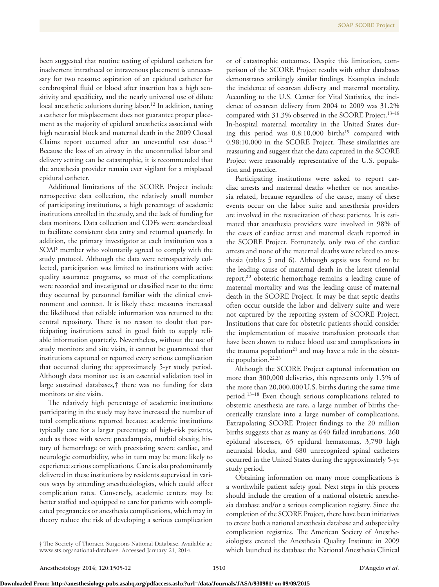been suggested that routine testing of epidural catheters for inadvertent intrathecal or intravenous placement is unnecessary for two reasons: aspiration of an epidural catheter for cerebrospinal fluid or blood after insertion has a high sensitivity and specificity, and the nearly universal use of dilute local anesthetic solutions during labor.<sup>12</sup> In addition, testing a catheter for misplacement does not guarantee proper placement as the majority of epidural anesthetics associated with high neuraxial block and maternal death in the 2009 Closed Claims report occurred after an uneventful test dose.<sup>11</sup> Because the loss of an airway in the uncontrolled labor and delivery setting can be catastrophic, it is recommended that the anesthesia provider remain ever vigilant for a misplaced epidural catheter.

Additional limitations of the SCORE Project include retrospective data collection, the relatively small number of participating institutions, a high percentage of academic institutions enrolled in the study, and the lack of funding for data monitors. Data collection and CDFs were standardized to facilitate consistent data entry and returned quarterly. In addition, the primary investigator at each institution was a SOAP member who voluntarily agreed to comply with the study protocol. Although the data were retrospectively collected, participation was limited to institutions with active quality assurance programs, so most of the complications were recorded and investigated or classified near to the time they occurred by personnel familiar with the clinical environment and context. It is likely these measures increased the likelihood that reliable information was returned to the central repository. There is no reason to doubt that participating institutions acted in good faith to supply reliable information quarterly. Nevertheless, without the use of study monitors and site visits, it cannot be guaranteed that institutions captured or reported every serious complication that occurred during the approximately 5-yr study period. Although data monitor use is an essential validation tool in large sustained databases,† there was no funding for data monitors or site visits.

The relatively high percentage of academic institutions participating in the study may have increased the number of total complications reported because academic institutions typically care for a larger percentage of high-risk patients, such as those with severe preeclampsia, morbid obesity, history of hemorrhage or with preexisting severe cardiac, and neurologic comorbidity, who in turn may be more likely to experience serious complications. Care is also predominantly delivered in these institutions by residents supervised in various ways by attending anesthesiologists, which could affect complication rates. Conversely, academic centers may be better staffed and equipped to care for patients with complicated pregnancies or anesthesia complications, which may in theory reduce the risk of developing a serious complication

or of catastrophic outcomes. Despite this limitation, comparison of the SCORE Project results with other databases demonstrates strikingly similar findings. Examples include the incidence of cesarean delivery and maternal mortality. According to the U.S. Center for Vital Statistics, the incidence of cesarean delivery from 2004 to 2009 was 31.2% compared with  $31.3\%$  observed in the SCORE Project.<sup>13–18</sup> In-hospital maternal mortality in the United States during this period was  $0.8:10,000$  births<sup>19</sup> compared with 0.98:10,000 in the SCORE Project. These similarities are reassuring and suggest that the data captured in the SCORE Project were reasonably representative of the U.S. population and practice.

Participating institutions were asked to report cardiac arrests and maternal deaths whether or not anesthesia related, because regardless of the cause, many of these events occur on the labor suite and anesthesia providers are involved in the resuscitation of these patients. It is estimated that anesthesia providers were involved in 98% of the cases of cardiac arrest and maternal death reported in the SCORE Project. Fortunately, only two of the cardiac arrests and none of the maternal deaths were related to anesthesia (tables 5 and 6). Although sepsis was found to be the leading cause of maternal death in the latest triennial report,<sup>20</sup> obstetric hemorrhage remains a leading cause of maternal mortality and was the leading cause of maternal death in the SCORE Project. It may be that septic deaths often occur outside the labor and delivery suite and were not captured by the reporting system of SCORE Project. Institutions that care for obstetric patients should consider the implementation of massive transfusion protocols that have been shown to reduce blood use and complications in the trauma population<sup>21</sup> and may have a role in the obstetric population.22,23

Although the SCORE Project captured information on more than 300,000 deliveries, this represents only 1.5% of the more than 20,000,000 U.S. births during the same time period.<sup>13-18</sup> Even though serious complications related to obstetric anesthesia are rare, a large number of births theoretically translate into a large number of complications. Extrapolating SCORE Project findings to the 20 million births suggests that as many as 640 failed intubations, 260 epidural abscesses, 65 epidural hematomas, 3,790 high neuraxial blocks, and 680 unrecognized spinal catheters occurred in the United States during the approximately 5-yr study period.

Obtaining information on many more complications is a worthwhile patient safety goal. Next steps in this process should include the creation of a national obstetric anesthesia database and/or a serious complication registry. Since the completion of the SCORE Project, there have been initiatives to create both a national anesthesia database and subspecialty complication registries. The American Society of Anesthesiologists created the Anesthesia Quality Institute in 2009 which launched its database the National Anesthesia Clinical

<sup>†</sup> The Society of Thoracic Surgeons National Database. Available at: [www.sts.org/national-database.](http://www.sts.org/national-database) Accessed January 21, 2014.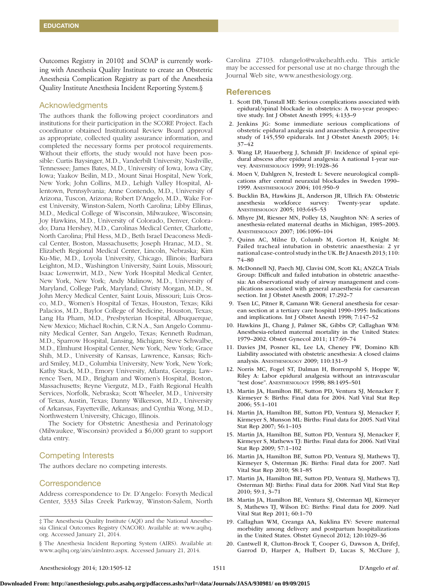Outcomes Registry in 2010‡ and SOAP is currently working with Anesthesia Quality Institute to create an Obstetric Anesthesia Complication Registry as part of the Anesthesia Quality Institute Anesthesia Incident Reporting System.§

## Acknowledgments

The authors thank the following project coordinators and institutions for their participation in the SCORE Project. Each coordinator obtained Institutional Review Board approval as appropriate, collected quality assurance information, and completed the necessary forms per protocol requirements. Without their efforts, the study would not have been possible: Curtis Baysinger, M.D., Vanderbilt University, Nashville, Tennessee; James Bates, M.D., University of Iowa, Iowa City, Iowa; Yaakov Beilin, M.D., Mount Sinai Hospital, New York, New York; John Collins, M.D., Lehigh Valley Hospital, Allentown, Pennsylvania; Anne Contendo, M.D., University of Arizona, Tuscon, Arizona; Robert D'Angelo, M.D., Wake Forest University, Winston-Salem, North Carolina; Libby Ellinas, M.D., Medical College of Wisconsin, Milwaukee, Wisconsin; Joy Hawkins, M.D., University of Colorado, Denver, Colorado; Dana Hershey, M.D., Carolinas Medical Center, Charlotte, North Carolina; Phil Hess, M.D., Beth Israel Deaconess Medical Center, Boston, Massachusetts; Joseph Hranac, M.D., St. Elizabeth Regional Medical Center, Lincoln, Nebraska; Kim Ku-Mie, M.D., Loyola University, Chicago, Illinois; Barbara Leighton, M.D., Washington University, Saint Louis, Missouri; Isaac Lowenwirt, M.D., New York Hospital Medical Center, New York, New York; Andy Malinow, M.D., University of Maryland, College Park, Maryland; Christy Morgan, M.D., St. John Mercy Medical Center, Saint Louis, Missouri; Luis Orosco, M.D., Women's Hospital of Texas, Houston, Texas; Kiki Palacios, M.D., Baylor College of Medicine, Houston, Texas; Lang Ha Pham, M.D., Presbyterian Hospital, Albuquerque, New Mexico; Michael Rochin, C.R.N.A., San Angelo Community Medical Center, San Angelo, Texas; Kenneth Rudman, M.D., Sparrow Hospital, Lansing, Michigan; Steve Schwalbe, M.D., Elmhurst Hospital Center, New York, New York; Grace Shih, M.D., University of Kansas, Lawrence, Kansas; Richard Smiley, M.D., Columbia University, New York, New York; Kathy Stack, M.D., Emory University, Atlanta, Georgia; Lawrence Tsen, M.D., Brigham and Women's Hospital, Boston, Massachusetts; Reyne Viergutz, M.D., Faith Regional Health Services, Norfolk, Nebraska; Scott Wheeler, M.D., University of Texas, Austin, Texas; Danny Wilkerson, M.D., University of Arkansas, Fayetteville, Arkansas; and Cynthia Wong, M.D., Northwestern University, Chicago, Illinois.

The Society for Obstetric Anesthesia and Perinatology (Milwaukee, Wisconsin) provided a \$6,000 grant to support data entry.

## Competing Interests

The authors declare no competing interests.

## **Correspondence**

Address correspondence to Dr. D'Angelo: Forsyth Medical Center, 3333 Silas Creek Parkway, Winston-Salem, North

§ The Anesthesia Incident Reporting System (AIRS). Available at: [www.aqihq.org/airs/airsIntro.aspx.](http://www.aqihq.org/airs/airsIntro.aspx) Accessed January 21, 2014.

Carolina 27103. [rdangelo@wakehealth.edu.](mailto:rdangelo@wakehealth.edu) This article may be accessed for personal use at no charge through the Journal Web site, [www.anesthesiology.org.](http://www.anesthesiology.org)

### References

- 1. Scott DB, Tunstall ME: Serious complications associated with epidural/spinal blockade in obstetrics: A two-year prospective study. Int J Obstet Anesth 1995; 4:133–9
- 2. Jenkins JG: Some immediate serious complications of obstetric epidural analgesia and anaesthesia: A prospective study of 145,550 epidurals. Int J Obstet Anesth 2005; 14: 37–42
- 3. Wang LP, Hauerberg J, Schmidt JF: Incidence of spinal epidural abscess after epidural analgesia: A national 1-year survey. Anesthesiology 1999; 91:1928–36
- 4. Moen V, Dahlgren N, Irestedt L: Severe neurological complications after central neuraxial blockades in Sweden 1990– 1999. Anesthesiology 2004; 101:950–9
- 5. Bucklin BA, Hawkins JL, Anderson JR, Ullrich FA: Obstetric anesthesia workforce survey: Twenty-year update. Anesthesiology 2005; 103:645–53
- 6. Mhyre JM, Riesner MN, Polley LS, Naughton NN: A series of anesthesia-related maternal deaths in Michigan, 1985–2003. Anesthesiology 2007; 106:1096–104
- 7. Quinn AC, Milne D, Columb M, Gorton H, Knight M: Failed tracheal intubation in obstetric anaesthesia: 2 yr national case-control study in the UK. Br J Anaesth 2013; 110: 74–80
- 8. McDonnell NJ, Paech MJ, Clavisi OM, Scott KL; ANZCA Trials Group: Difficult and failed intubation in obstetric anaesthesia: An observational study of airway management and complications associated with general anaesthesia for caesarean section. Int J Obstet Anesth 2008; 17:292–7
- 9. Tsen LC, Pitner R, Camann WR: General anesthesia for cesarean section at a tertiary care hospital 1990–1995: Indications and implications. Int J Obstet Anesth 1998; 7:147–52
- 10. Hawkins JL, Chang J, Palmer SK, Gibbs CP, Callaghan WM: Anesthesia-related maternal mortality in the United States: 1979–2002. Obstet Gynecol 2011; 117:69–74
- 11. Davies JM, Posner KL, Lee LA, Cheney FW, Domino KB: Liability associated with obstetric anesthesia: A closed claims analysis. Anesthesiology 2009; 110:131–9
- 12. Norris MC, Fogel ST, Dalman H, Borrenpohl S, Hoppe W, Riley A: Labor epidural analgesia without an intravascular "test dose". Anesthesiology 1998; 88:1495–501
- 13. Martin JA, Hamilton BE, Sutton PD, Ventura SJ, Menacker F, Kirmeyer S: Births: Final data for 2004. Natl Vital Stat Rep 2006; 55:1–101
- 14. Martin JA, Hamilton BE, Sutton PD, Ventura SJ, Menacker F, Kirmeyer S, Munson ML: Births: Final data for 2005. Natl Vital Stat Rep 2007; 56:1–103
- 15. Martin JA, Hamilton BE, Sutton PD, Ventura SJ, Menacker F, Kirmeyer S, Mathews TJ: Births: Final data for 2006. Natl Vital Stat Rep 2009; 57:1–102
- 16. Martin JA, Hamilton BE, Sutton PD, Ventura SJ, Mathews TJ, Kirmeyer S, Osterman JK: Births: Final data for 2007. Natl Vital Stat Rep 2010; 58:1–85
- 17. Martin JA, Hamilton BE, Sutton PD, Ventura SJ, Mathews TJ, Osterman MJ: Births: Final data for 2008. Natl Vital Stat Rep 2010; 59:1, 3–71
- 18. Martin JA, Hamilton BE, Ventura SJ, Osterman MJ, Kirmeyer S, Mathews TJ, Wilson EC: Births: Final data for 2009. Natl Vital Stat Rep 2011; 60:1–70
- 19. Callaghan WM, Creanga AA, Kuklina EV: Severe maternal morbidity among delivery and postpartum hospitalizations in the United States. Obstet Gynecol 2012; 120:1029–36
- 20. Cantwell R, Clutton-Brock T, Cooper G, Dawson A, DrifeJ, Garrod D, Harper A, Hulbert D, Lucas S, McClure J,

<sup>‡</sup> The Anesthesia Quality Institute (AQI) and the National Anesthesia Clinical Outcomes Registry (NACOR). Available at: [www.aqihq.](http://www.aqihq.org) [org.](http://www.aqihq.org) Accessed January 21, 2014.